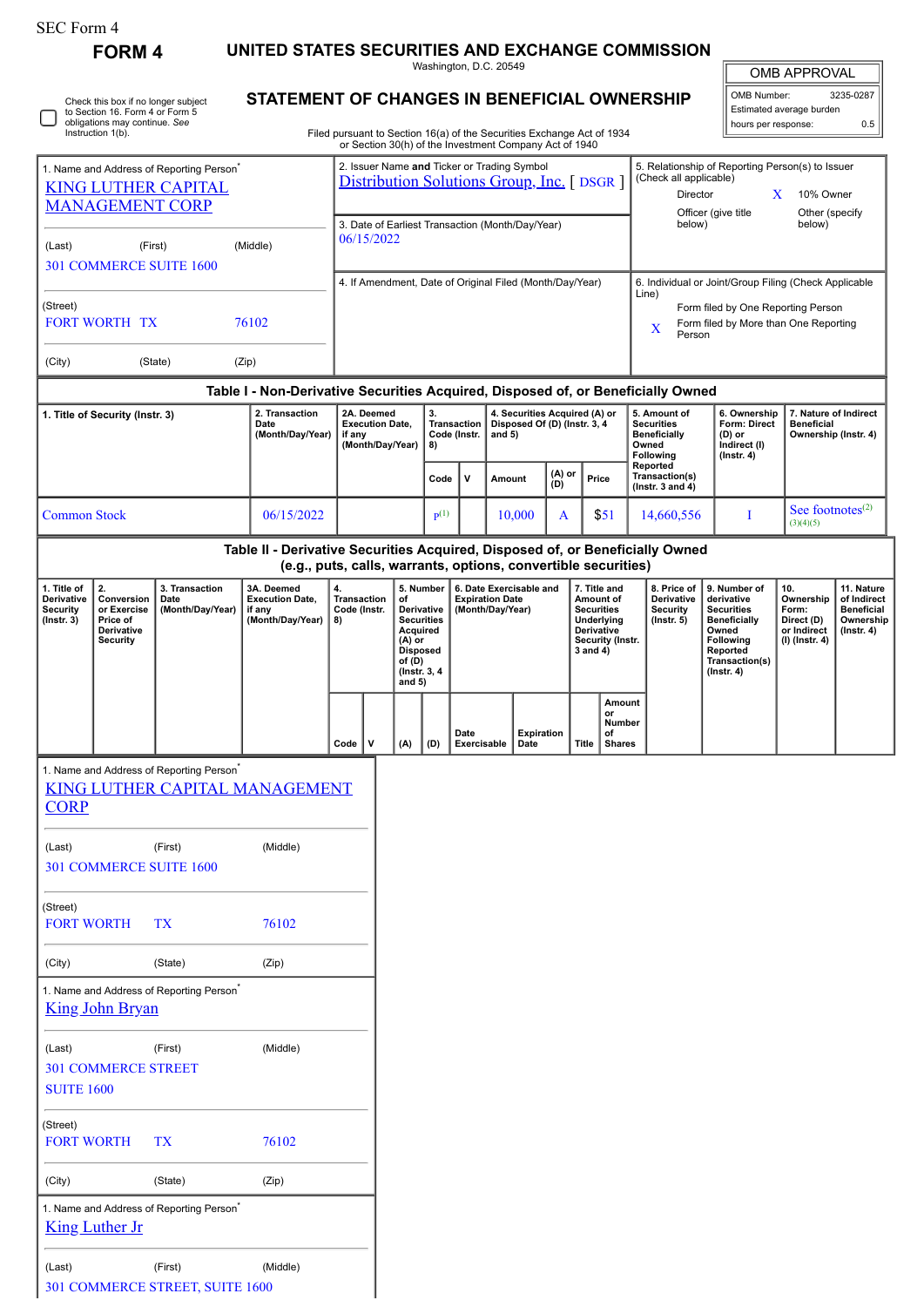| SEC Form 4 |  |
|------------|--|
|------------|--|

(Last) (First) (Middle) 301 COMMERCE STREET, SUITE 1600

|                                                                                                              |                                                                                                                              |                                                                                        |                                                                                                                                                 |                                                                                                                                                |                                                                            |     |                                                                                              |                     | Washington, D.C. 20549                                                                                                           |               |                                                                                                                   |                                                                                                                                                                                  |                                                                  |                                                                                                                                                | OMB APPROVAL                                                             |                                                                                 |  |
|--------------------------------------------------------------------------------------------------------------|------------------------------------------------------------------------------------------------------------------------------|----------------------------------------------------------------------------------------|-------------------------------------------------------------------------------------------------------------------------------------------------|------------------------------------------------------------------------------------------------------------------------------------------------|----------------------------------------------------------------------------|-----|----------------------------------------------------------------------------------------------|---------------------|----------------------------------------------------------------------------------------------------------------------------------|---------------|-------------------------------------------------------------------------------------------------------------------|----------------------------------------------------------------------------------------------------------------------------------------------------------------------------------|------------------------------------------------------------------|------------------------------------------------------------------------------------------------------------------------------------------------|--------------------------------------------------------------------------|---------------------------------------------------------------------------------|--|
|                                                                                                              | Check this box if no longer subject<br>to Section 16. Form 4 or Form 5<br>obligations may continue. See<br>Instruction 1(b). |                                                                                        | STATEMENT OF CHANGES IN BENEFICIAL OWNERSHIP                                                                                                    |                                                                                                                                                |                                                                            |     |                                                                                              |                     | Filed pursuant to Section 16(a) of the Securities Exchange Act of 1934<br>or Section 30(h) of the Investment Company Act of 1940 |               |                                                                                                                   |                                                                                                                                                                                  |                                                                  | OMB Number:<br>hours per response:                                                                                                             | Estimated average burden                                                 | 3235-0287<br>0.5                                                                |  |
| 1. Name and Address of Reporting Person <sup>*</sup><br><b>KING LUTHER CAPITAL</b><br><b>MANAGEMENT CORP</b> |                                                                                                                              |                                                                                        |                                                                                                                                                 | 2. Issuer Name and Ticker or Trading Symbol<br>Distribution Solutions Group, Inc. [ DSGR ]<br>3. Date of Earliest Transaction (Month/Day/Year) |                                                                            |     |                                                                                              |                     |                                                                                                                                  |               |                                                                                                                   | 5. Relationship of Reporting Person(s) to Issuer<br>(Check all applicable)<br>Director<br>10% Owner<br>$\mathbf{X}$<br>Officer (give title<br>Other (specify<br>below)<br>below) |                                                                  |                                                                                                                                                |                                                                          |                                                                                 |  |
| (First)<br>(Middle)<br>(Last)<br>301 COMMERCE SUITE 1600                                                     |                                                                                                                              |                                                                                        |                                                                                                                                                 | 06/15/2022<br>4. If Amendment, Date of Original Filed (Month/Day/Year)                                                                         |                                                                            |     |                                                                                              |                     |                                                                                                                                  |               |                                                                                                                   | 6. Individual or Joint/Group Filing (Check Applicable                                                                                                                            |                                                                  |                                                                                                                                                |                                                                          |                                                                                 |  |
| (Street)<br><b>FORT WORTH TX</b><br>76102                                                                    |                                                                                                                              |                                                                                        |                                                                                                                                                 |                                                                                                                                                |                                                                            |     |                                                                                              |                     |                                                                                                                                  |               | Line)<br>Form filed by One Reporting Person<br>Form filed by More than One Reporting<br>X<br>Person               |                                                                                                                                                                                  |                                                                  |                                                                                                                                                |                                                                          |                                                                                 |  |
| (City)                                                                                                       |                                                                                                                              | (State)                                                                                | (Zip)                                                                                                                                           |                                                                                                                                                |                                                                            |     |                                                                                              |                     |                                                                                                                                  |               |                                                                                                                   |                                                                                                                                                                                  |                                                                  |                                                                                                                                                |                                                                          |                                                                                 |  |
|                                                                                                              |                                                                                                                              |                                                                                        | Table I - Non-Derivative Securities Acquired, Disposed of, or Beneficially Owned<br>2. Transaction                                              |                                                                                                                                                | 2A. Deemed                                                                 |     | 3.                                                                                           |                     | 4. Securities Acquired (A) or                                                                                                    |               |                                                                                                                   |                                                                                                                                                                                  | 5. Amount of                                                     | 6. Ownership                                                                                                                                   | 7. Nature of Indirect                                                    |                                                                                 |  |
| 1. Title of Security (Instr. 3)                                                                              |                                                                                                                              | Date<br>(Month/Day/Year)                                                               | <b>Execution Date.</b><br>if any<br>(Month/Day/Year)                                                                                            |                                                                                                                                                |                                                                            | 8)  | <b>Transaction</b><br>and $5)$<br>Code (Instr.                                               |                     | Disposed Of (D) (Instr. 3, 4                                                                                                     |               |                                                                                                                   | <b>Securities</b><br><b>Beneficially</b><br>Owned<br>Following<br>Reported                                                                                                       | Form: Direct<br>$(D)$ or<br>Indirect (I)<br>$($ lnstr. 4 $)$     | <b>Beneficial</b><br>Ownership (Instr. 4)                                                                                                      |                                                                          |                                                                                 |  |
|                                                                                                              |                                                                                                                              |                                                                                        |                                                                                                                                                 |                                                                                                                                                |                                                                            |     | Code                                                                                         | v                   | Amount                                                                                                                           | (A) or<br>(D) |                                                                                                                   | Price                                                                                                                                                                            | Transaction(s)<br>( $lnstr. 3 and 4$ )                           |                                                                                                                                                |                                                                          |                                                                                 |  |
| <b>Common Stock</b>                                                                                          |                                                                                                                              |                                                                                        | 06/15/2022                                                                                                                                      |                                                                                                                                                |                                                                            |     | $\mathbf{p}(1)$                                                                              |                     | 10,000                                                                                                                           | A             |                                                                                                                   | \$51                                                                                                                                                                             | 14,660,556                                                       | I                                                                                                                                              | See footnotes $(2)$<br>(3)(4)(5)                                         |                                                                                 |  |
|                                                                                                              |                                                                                                                              |                                                                                        | Table II - Derivative Securities Acquired, Disposed of, or Beneficially Owned<br>(e.g., puts, calls, warrants, options, convertible securities) |                                                                                                                                                |                                                                            |     |                                                                                              |                     |                                                                                                                                  |               |                                                                                                                   |                                                                                                                                                                                  |                                                                  |                                                                                                                                                |                                                                          |                                                                                 |  |
| 1. Title of<br>Derivative<br><b>Security</b><br>$($ Instr. 3 $)$                                             | 2.<br>3. Transaction<br>Conversion<br>Date<br>or Exercise<br>(Month/Day/Year)<br>Price of<br>Derivative<br><b>Security</b>   |                                                                                        | 3A. Deemed<br><b>Execution Date,</b><br>if any<br>(Month/Day/Year)                                                                              | 4.<br>8)                                                                                                                                       | <b>Transaction</b><br>of<br>Code (Instr.<br>$(A)$ or<br>of (D)<br>and $5)$ |     | 5. Number<br>Derivative<br><b>Securities</b><br>Acquired<br><b>Disposed</b><br>(Instr. 3, 4) |                     | 6. Date Exercisable and<br><b>Expiration Date</b><br>(Month/Day/Year)                                                            |               | 7. Title and<br>Amount of<br><b>Securities</b><br>Underlying<br><b>Derivative</b><br>Security (Instr.<br>3 and 4) |                                                                                                                                                                                  | 8. Price of<br>Derivative<br><b>Security</b><br>$($ Instr. 5 $)$ | 9. Number of<br>derivative<br><b>Securities</b><br><b>Beneficially</b><br>Owned<br>Following<br>Reported<br>Transaction(s)<br>$($ Instr. 4 $)$ | 10.<br>Ownership<br>Form:<br>Direct (D)<br>or Indirect<br>(I) (Instr. 4) | 11. Nature<br>of Indirect<br><b>Beneficial</b><br>Ownership<br>$($ lnstr. 4 $)$ |  |
|                                                                                                              |                                                                                                                              |                                                                                        |                                                                                                                                                 | Code                                                                                                                                           | ۱v                                                                         | (A) | (D)                                                                                          | Date<br>Exercisable | Date                                                                                                                             | Expiration    | Title                                                                                                             | <b>Amount</b><br>or<br>Number<br>of<br>Shares                                                                                                                                    |                                                                  |                                                                                                                                                |                                                                          |                                                                                 |  |
|                                                                                                              |                                                                                                                              | 1. Name and Address of Reporting Person <sup>*</sup><br>KING LUTHER CAPITAL MANAGEMENT |                                                                                                                                                 |                                                                                                                                                |                                                                            |     |                                                                                              |                     |                                                                                                                                  |               |                                                                                                                   |                                                                                                                                                                                  |                                                                  |                                                                                                                                                |                                                                          |                                                                                 |  |
| <b>CORP</b>                                                                                                  |                                                                                                                              |                                                                                        |                                                                                                                                                 |                                                                                                                                                |                                                                            |     |                                                                                              |                     |                                                                                                                                  |               |                                                                                                                   |                                                                                                                                                                                  |                                                                  |                                                                                                                                                |                                                                          |                                                                                 |  |
| (Last)                                                                                                       |                                                                                                                              | (First)<br><b>301 COMMERCE SUITE 1600</b>                                              | (Middle)                                                                                                                                        |                                                                                                                                                |                                                                            |     |                                                                                              |                     |                                                                                                                                  |               |                                                                                                                   |                                                                                                                                                                                  |                                                                  |                                                                                                                                                |                                                                          |                                                                                 |  |
| (Street)<br><b>FORT WORTH</b>                                                                                |                                                                                                                              | TX                                                                                     | 76102                                                                                                                                           |                                                                                                                                                |                                                                            |     |                                                                                              |                     |                                                                                                                                  |               |                                                                                                                   |                                                                                                                                                                                  |                                                                  |                                                                                                                                                |                                                                          |                                                                                 |  |
| (City)                                                                                                       |                                                                                                                              | (State)                                                                                | (Zip)                                                                                                                                           |                                                                                                                                                |                                                                            |     |                                                                                              |                     |                                                                                                                                  |               |                                                                                                                   |                                                                                                                                                                                  |                                                                  |                                                                                                                                                |                                                                          |                                                                                 |  |
|                                                                                                              | <b>King John Bryan</b>                                                                                                       | 1. Name and Address of Reporting Person <sup>*</sup>                                   |                                                                                                                                                 |                                                                                                                                                |                                                                            |     |                                                                                              |                     |                                                                                                                                  |               |                                                                                                                   |                                                                                                                                                                                  |                                                                  |                                                                                                                                                |                                                                          |                                                                                 |  |
| (Last)<br><b>SUITE 1600</b>                                                                                  | <b>301 COMMERCE STREET</b>                                                                                                   | (First)                                                                                | (Middle)                                                                                                                                        |                                                                                                                                                |                                                                            |     |                                                                                              |                     |                                                                                                                                  |               |                                                                                                                   |                                                                                                                                                                                  |                                                                  |                                                                                                                                                |                                                                          |                                                                                 |  |
| (Street)<br><b>FORT WORTH</b>                                                                                |                                                                                                                              | TX                                                                                     | 76102                                                                                                                                           |                                                                                                                                                |                                                                            |     |                                                                                              |                     |                                                                                                                                  |               |                                                                                                                   |                                                                                                                                                                                  |                                                                  |                                                                                                                                                |                                                                          |                                                                                 |  |
| (City)                                                                                                       |                                                                                                                              | (State)                                                                                | (Zip)                                                                                                                                           |                                                                                                                                                |                                                                            |     |                                                                                              |                     |                                                                                                                                  |               |                                                                                                                   |                                                                                                                                                                                  |                                                                  |                                                                                                                                                |                                                                          |                                                                                 |  |
|                                                                                                              | <b>King Luther Jr</b>                                                                                                        | 1. Name and Address of Reporting Person <sup>*</sup>                                   |                                                                                                                                                 |                                                                                                                                                |                                                                            |     |                                                                                              |                     |                                                                                                                                  |               |                                                                                                                   |                                                                                                                                                                                  |                                                                  |                                                                                                                                                |                                                                          |                                                                                 |  |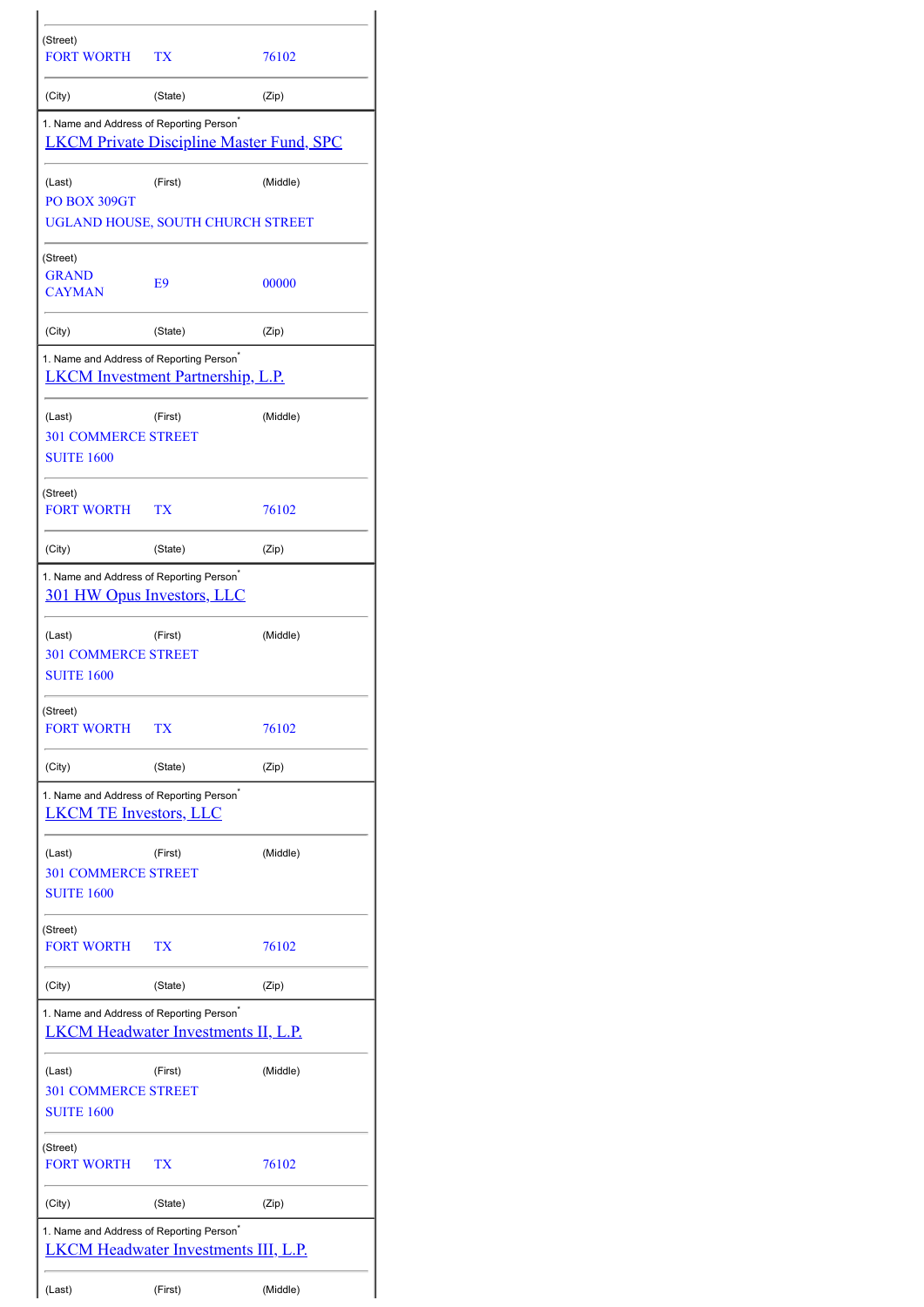| (Street)<br><b>FORT WORTH</b>                                                                       | TX      | 76102                                           |
|-----------------------------------------------------------------------------------------------------|---------|-------------------------------------------------|
| (City)                                                                                              | (State) | (Zip)                                           |
| 1. Name and Address of Reporting Person <sup>®</sup>                                                |         | <b>LKCM Private Discipline Master Fund, SPC</b> |
| (Last)<br>PO BOX 309GT                                                                              | (First) | (Middle)                                        |
| UGLAND HOUSE, SOUTH CHURCH STREET                                                                   |         |                                                 |
| (Street)<br><b>GRAND</b><br><b>CAYMAN</b>                                                           | E9      | 00000                                           |
| (City)                                                                                              | (State) | (Zip)                                           |
| 1. Name and Address of Reporting Person <sup>*</sup><br>LKCM Investment Partnership, L.P.           |         |                                                 |
| (Last)<br><b>301 COMMERCE STREET</b><br><b>SUITE 1600</b>                                           | (First) | (Middle)                                        |
| (Street)<br>FORT WORTH                                                                              | TX      | 76102                                           |
| (City)                                                                                              | (State) | (Zip)                                           |
| 1. Name and Address of Reporting Person <sup>®</sup><br><u>301 HW Opus Investors, LLC</u>           |         |                                                 |
| (Last)<br><b>301 COMMERCE STREET</b><br><b>SUITE 1600</b>                                           | (First) | (Middle)                                        |
| (Street)<br><b>FORT WORTH</b>                                                                       | TX      | 76102                                           |
| (City)                                                                                              | (State) | (Zip)                                           |
| 1. Name and Address of Reporting Person <sup>*</sup><br><b>LKCM TE Investors, LLC</b>               |         |                                                 |
| (Last)<br><b>301 COMMERCE STREET</b><br><b>SUITE 1600</b>                                           | (First) | (Middle)                                        |
| (Street)<br><b>FORT WORTH</b>                                                                       | TХ      | 76102                                           |
| (City)                                                                                              | (State) | (Zip)                                           |
| 1. Name and Address of Reporting Person <sup>®</sup><br><b>LKCM Headwater Investments II, L.P.</b>  |         |                                                 |
| (Last)<br><b>301 COMMERCE STREET</b><br><b>SUITE 1600</b>                                           | (First) | (Middle)                                        |
| (Street)<br><b>FORT WORTH</b>                                                                       | ТX      | 76102                                           |
| (City)                                                                                              | (State) | (Zip)                                           |
| 1. Name and Address of Reporting Person <sup>*</sup><br><b>LKCM Headwater Investments III, L.P.</b> |         |                                                 |
| (Last)                                                                                              | (First) | (Middle)                                        |